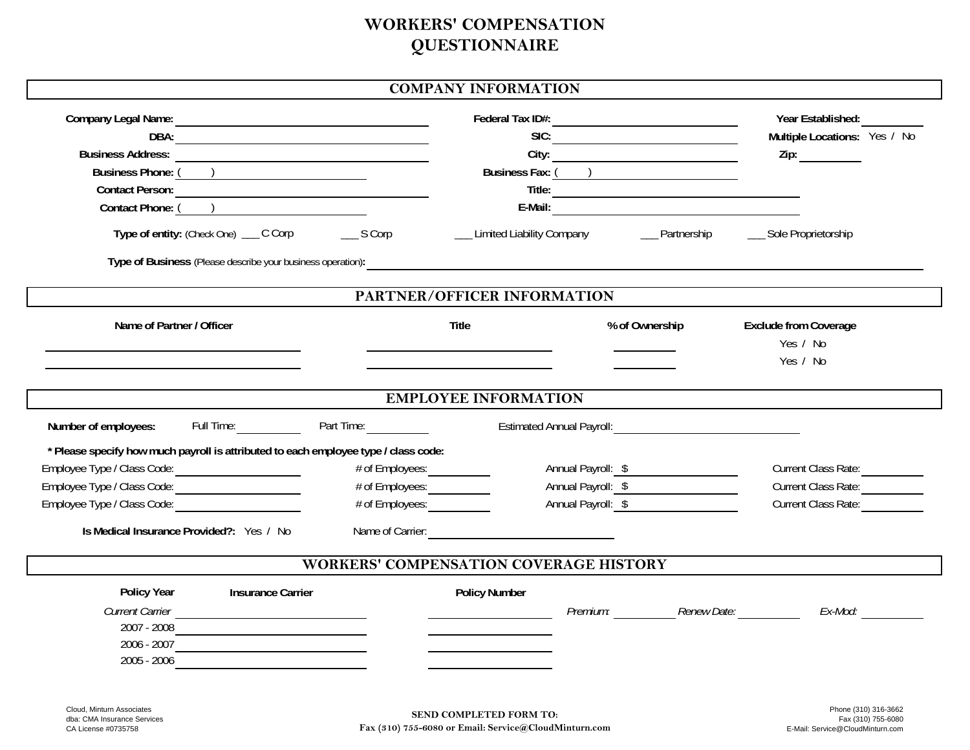## **WORKERS' COMPENSATION QUESTIONNAIRE**

|  | <b>COMPANY INFORMATION</b> |
|--|----------------------------|
|--|----------------------------|

|                                                                                       |                                  |                              |                                                                                                                                                                                                                                | Year Established:                         |  |  |
|---------------------------------------------------------------------------------------|----------------------------------|------------------------------|--------------------------------------------------------------------------------------------------------------------------------------------------------------------------------------------------------------------------------|-------------------------------------------|--|--|
| DBA:                                                                                  |                                  |                              | SIC:                                                                                                                                                                                                                           | Multiple Locations: Yes / No              |  |  |
|                                                                                       |                                  |                              |                                                                                                                                                                                                                                |                                           |  |  |
|                                                                                       |                                  |                              |                                                                                                                                                                                                                                |                                           |  |  |
| Contact Person:                                                                       |                                  |                              |                                                                                                                                                                                                                                |                                           |  |  |
| Contact Phone: ( )                                                                    |                                  |                              |                                                                                                                                                                                                                                |                                           |  |  |
| Type of entity: (Check One) __ C Corp ______ S Corp                                   |                                  | __ Limited Liability Company |                                                                                                                                                                                                                                | __ Partnership ______ Sole Proprietorship |  |  |
| Type of Business (Please describe your business operation):                           |                                  |                              |                                                                                                                                                                                                                                |                                           |  |  |
| PARTNER/OFFICER INFORMATION                                                           |                                  |                              |                                                                                                                                                                                                                                |                                           |  |  |
| Name of Partner / Officer                                                             |                                  | <b>Title</b>                 | % of Ownership                                                                                                                                                                                                                 | <b>Exclude from Coverage</b>              |  |  |
|                                                                                       |                                  |                              |                                                                                                                                                                                                                                | Yes / No                                  |  |  |
|                                                                                       |                                  |                              |                                                                                                                                                                                                                                | Yes / No                                  |  |  |
|                                                                                       |                                  |                              |                                                                                                                                                                                                                                |                                           |  |  |
|                                                                                       |                                  | <b>EMPLOYEE INFORMATION</b>  |                                                                                                                                                                                                                                |                                           |  |  |
| Number of employees:                                                                  | Full Time: Part Time: Part Time: |                              | Estimated Annual Payroll: Cambridge Contract Contract Contract Contract Contract Contract Contract Contract Contract Contract Contract Contract Contract Contract Contract Contract Contract Contract Contract Contract Contra |                                           |  |  |
| * Please specify how much payroll is attributed to each employee type / class code:   |                                  |                              |                                                                                                                                                                                                                                |                                           |  |  |
| Employee Type / Class Code: 2000-2012                                                 | # of Employees:                  |                              | Annual Payroll: \$                                                                                                                                                                                                             | Current Class Rate:                       |  |  |
| Employee Type / Class Code: 2000-2012                                                 | # of Employees: ____________     |                              | Annual Payroll: \$                                                                                                                                                                                                             | Current Class Rate: <u>________</u>       |  |  |
| Employee Type / Class Code:                                                           | # of Employees:                  |                              | Annual Payroll: \$                                                                                                                                                                                                             | <b>Current Class Rate:</b>                |  |  |
| Is Medical Insurance Provided?: Yes / No                                              |                                  |                              |                                                                                                                                                                                                                                |                                           |  |  |
|                                                                                       |                                  |                              |                                                                                                                                                                                                                                |                                           |  |  |
| <b>WORKERS' COMPENSATION COVERAGE HISTORY</b>                                         |                                  |                              |                                                                                                                                                                                                                                |                                           |  |  |
| Policy Year<br><b>Insurance Carrier</b>                                               |                                  | <b>Policy Number</b>         |                                                                                                                                                                                                                                |                                           |  |  |
| <b>Current Carrier</b><br><u> 1989 - Johann Stoff, amerikansk politiker (d. 1989)</u> |                                  |                              | Premium: Renew Date:                                                                                                                                                                                                           | Ex-Mod:                                   |  |  |
| 2007 - 2008                                                                           |                                  |                              |                                                                                                                                                                                                                                |                                           |  |  |
| 2006 - 2007                                                                           |                                  |                              |                                                                                                                                                                                                                                |                                           |  |  |
| 2005 - 2006                                                                           |                                  |                              |                                                                                                                                                                                                                                |                                           |  |  |
|                                                                                       |                                  |                              |                                                                                                                                                                                                                                |                                           |  |  |
| Cloud. Minturn Associates                                                             |                                  | CENTR COMBI ETER EODM TO     |                                                                                                                                                                                                                                | Phone (310) 316-3662                      |  |  |

dba: CMA Insurance Services CA License #0735758